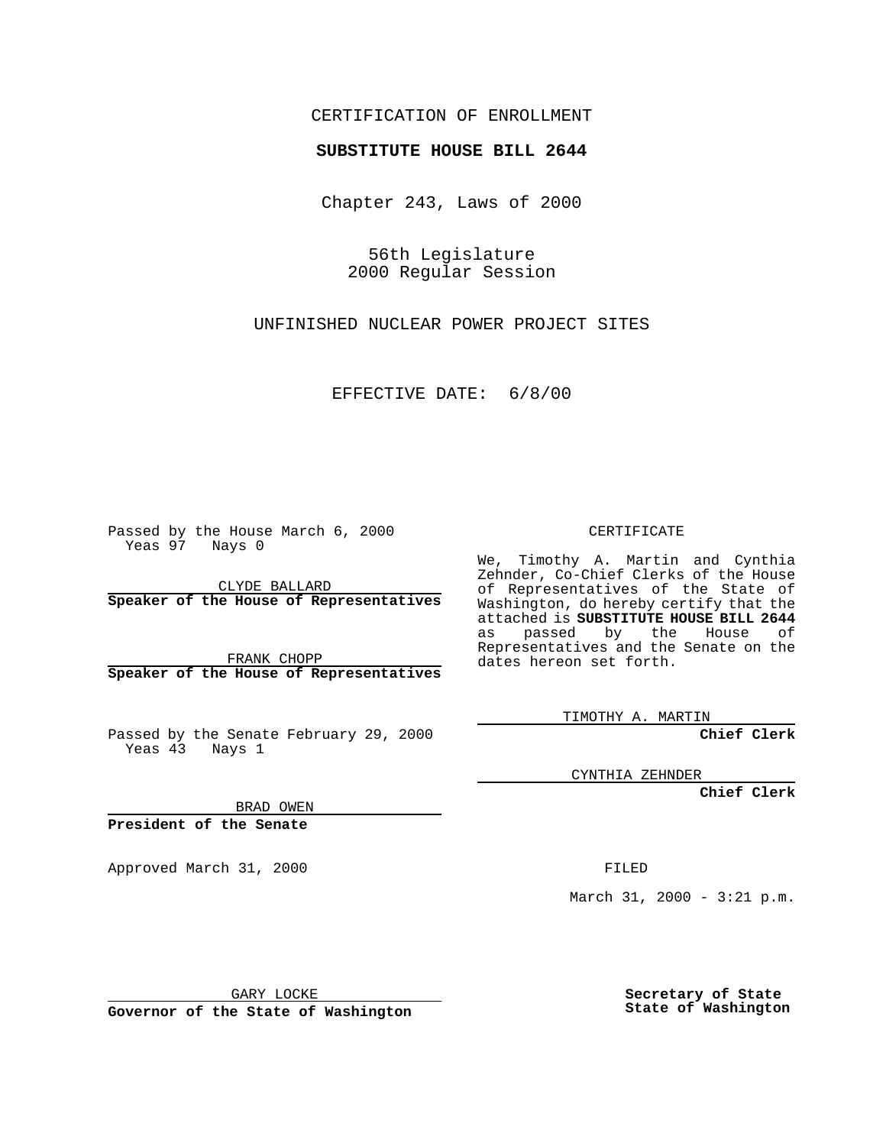## CERTIFICATION OF ENROLLMENT

## **SUBSTITUTE HOUSE BILL 2644**

Chapter 243, Laws of 2000

56th Legislature 2000 Regular Session

UNFINISHED NUCLEAR POWER PROJECT SITES

EFFECTIVE DATE: 6/8/00

Passed by the House March 6, 2000 Yeas 97 Nays 0

CLYDE BALLARD **Speaker of the House of Representatives**

FRANK CHOPP **Speaker of the House of Representatives**

Passed by the Senate February 29, 2000 Yeas 43 Nays 1

BRAD OWEN

**President of the Senate**

Approved March 31, 2000 FILED

March 31, 2000 - 3:21 p.m.

GARY LOCKE

**Governor of the State of Washington**

**Secretary of State State of Washington**

CERTIFICATE

We, Timothy A. Martin and Cynthia Zehnder, Co-Chief Clerks of the House of Representatives of the State of Washington, do hereby certify that the attached is **SUBSTITUTE HOUSE BILL 2644** as passed by the House of Representatives and the Senate on the dates hereon set forth.

TIMOTHY A. MARTIN

**Chief Clerk**

CYNTHIA ZEHNDER

**Chief Clerk**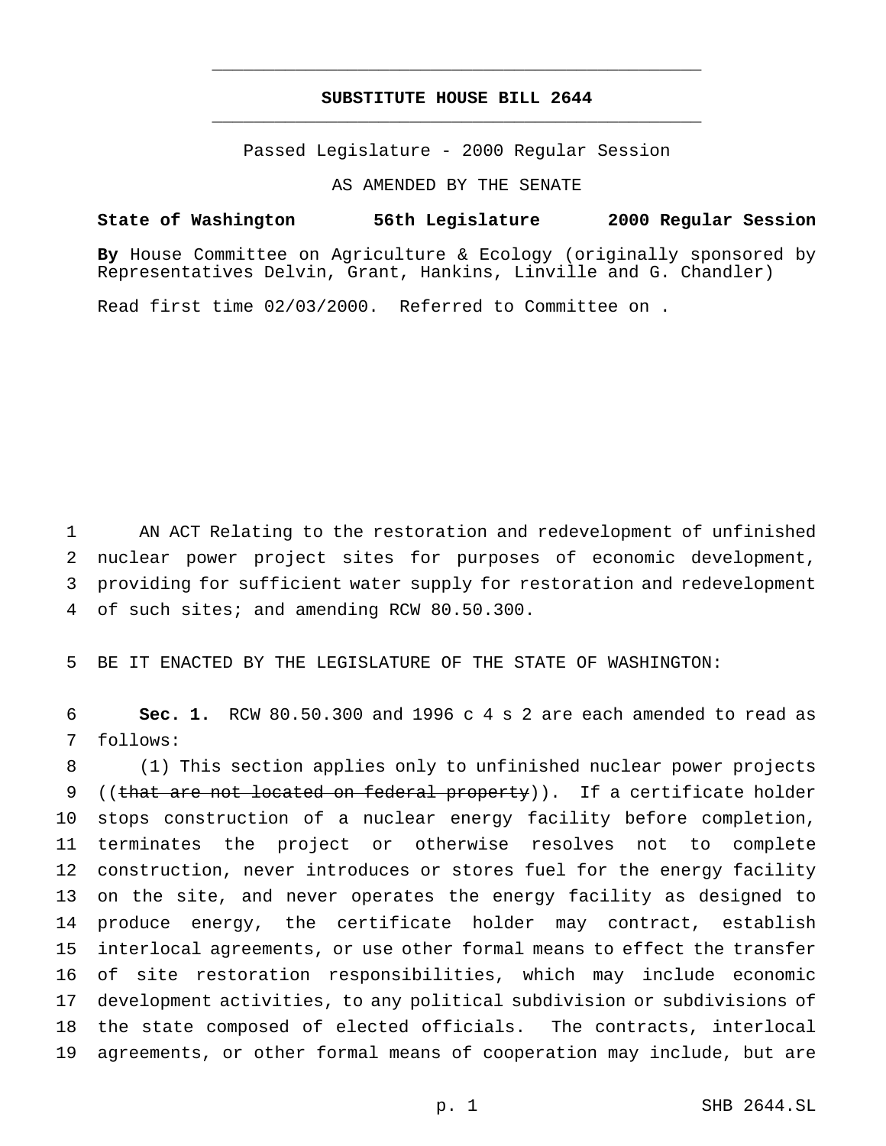## **SUBSTITUTE HOUSE BILL 2644** \_\_\_\_\_\_\_\_\_\_\_\_\_\_\_\_\_\_\_\_\_\_\_\_\_\_\_\_\_\_\_\_\_\_\_\_\_\_\_\_\_\_\_\_\_\_\_

\_\_\_\_\_\_\_\_\_\_\_\_\_\_\_\_\_\_\_\_\_\_\_\_\_\_\_\_\_\_\_\_\_\_\_\_\_\_\_\_\_\_\_\_\_\_\_

Passed Legislature - 2000 Regular Session

AS AMENDED BY THE SENATE

**State of Washington 56th Legislature 2000 Regular Session**

**By** House Committee on Agriculture & Ecology (originally sponsored by Representatives Delvin, Grant, Hankins, Linville and G. Chandler)

Read first time 02/03/2000. Referred to Committee on .

 AN ACT Relating to the restoration and redevelopment of unfinished nuclear power project sites for purposes of economic development, providing for sufficient water supply for restoration and redevelopment of such sites; and amending RCW 80.50.300.

BE IT ENACTED BY THE LEGISLATURE OF THE STATE OF WASHINGTON:

 **Sec. 1.** RCW 80.50.300 and 1996 c 4 s 2 are each amended to read as follows:

 (1) This section applies only to unfinished nuclear power projects 9 ((that are not located on federal property)). If a certificate holder stops construction of a nuclear energy facility before completion, terminates the project or otherwise resolves not to complete construction, never introduces or stores fuel for the energy facility on the site, and never operates the energy facility as designed to produce energy, the certificate holder may contract, establish interlocal agreements, or use other formal means to effect the transfer of site restoration responsibilities, which may include economic development activities, to any political subdivision or subdivisions of the state composed of elected officials. The contracts, interlocal agreements, or other formal means of cooperation may include, but are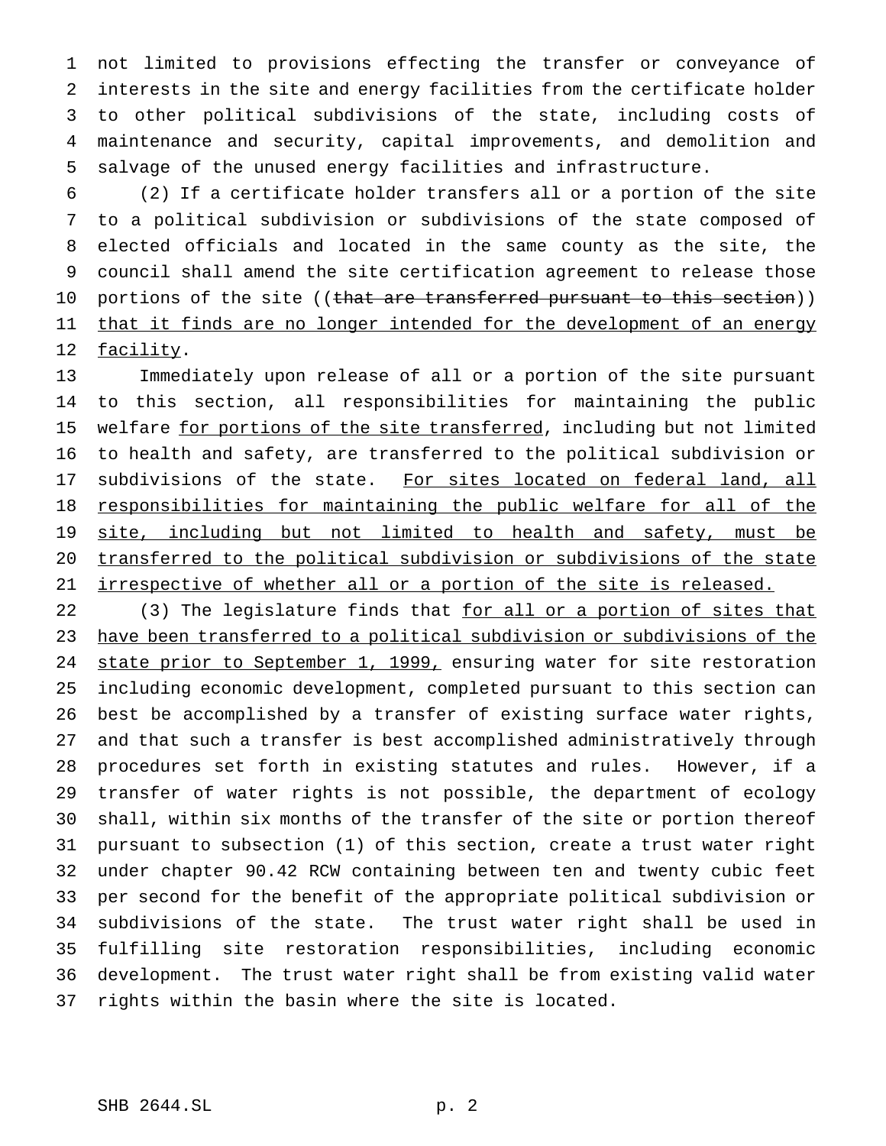not limited to provisions effecting the transfer or conveyance of interests in the site and energy facilities from the certificate holder to other political subdivisions of the state, including costs of maintenance and security, capital improvements, and demolition and salvage of the unused energy facilities and infrastructure.

 (2) If a certificate holder transfers all or a portion of the site to a political subdivision or subdivisions of the state composed of elected officials and located in the same county as the site, the council shall amend the site certification agreement to release those 10 portions of the site ((<del>that are transferred pursuant to this section</del>)) 11 that it finds are no longer intended for the development of an energy 12 facility.

 Immediately upon release of all or a portion of the site pursuant to this section, all responsibilities for maintaining the public 15 welfare for portions of the site transferred, including but not limited to health and safety, are transferred to the political subdivision or 17 subdivisions of the state. For sites located on federal land, all responsibilities for maintaining the public welfare for all of the 19 site, including but not limited to health and safety, must be transferred to the political subdivision or subdivisions of the state irrespective of whether all or a portion of the site is released.

22 (3) The legislature finds that for all or a portion of sites that have been transferred to a political subdivision or subdivisions of the state prior to September 1, 1999, ensuring water for site restoration including economic development, completed pursuant to this section can best be accomplished by a transfer of existing surface water rights, and that such a transfer is best accomplished administratively through procedures set forth in existing statutes and rules. However, if a transfer of water rights is not possible, the department of ecology shall, within six months of the transfer of the site or portion thereof pursuant to subsection (1) of this section, create a trust water right under chapter 90.42 RCW containing between ten and twenty cubic feet per second for the benefit of the appropriate political subdivision or subdivisions of the state. The trust water right shall be used in fulfilling site restoration responsibilities, including economic development. The trust water right shall be from existing valid water rights within the basin where the site is located.